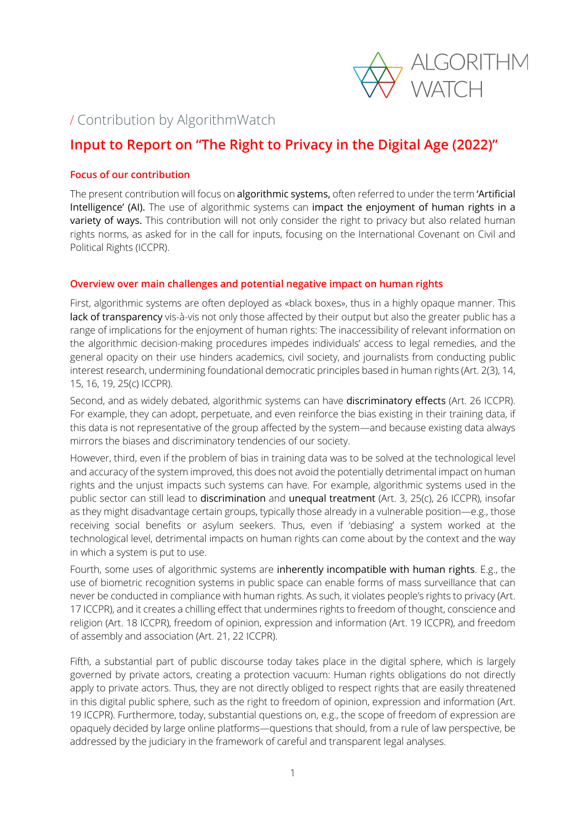

## / Contribution by AlgorithmWatch

# **Input to Report on "The Right to Privacy in the Digital Age (2022)"**

## **Focus of our contribution**

The present contribution will focus on algorithmic systems, often referred to under the term 'Artificial Intelligence' (AI). The use of algorithmic systems can impact the enjoyment of human rights in a variety of ways. This contribution will not only consider the right to privacy but also related human rights norms, as asked for in the call for inputs, focusing on the International Covenant on Civil and Political Rights (ICCPR).

### **Overview over main challenges and potential negative impact on human rights**

First, algorithmic systems are often deployed as «black boxes», thus in a highly opaque manner. This lack of transparency vis-à-vis not only those affected by their output but also the greater public has a range of implications for the enjoyment of human rights: The inaccessibility of relevant information on the algorithmic decision-making procedures impedes individuals' access to legal remedies, and the general opacity on their use hinders academics, civil society, and journalists from conducting public interest research, undermining foundational democratic principles based in human rights (Art. 2(3), 14, 15, 16, 19, 25(c) ICCPR).

Second, and as widely debated, algorithmic systems can have discriminatory effects (Art. 26 ICCPR). For example, they can adopt, perpetuate, and even reinforce the bias existing in their training data, if this data is not representative of the group affected by the system—and because existing data always mirrors the biases and discriminatory tendencies of our society.

However, third, even if the problem of bias in training data was to be solved at the technological level and accuracy of the system improved, this does not avoid the potentially detrimental impact on human rights and the unjust impacts such systems can have. For example, algorithmic systems used in the public sector can still lead to discrimination and unequal treatment (Art. 3, 25(c), 26 ICCPR), insofar as they might disadvantage certain groups, typically those already in a vulnerable position—e.g., those receiving social benefits or asylum seekers. Thus, even if 'debiasing' a system worked at the technological level, detrimental impacts on human rights can come about by the context and the way in which a system is put to use.

Fourth, some uses of algorithmic systems are inherently incompatible with human rights. E.g., the use of biometric recognition systems in public space can enable forms of mass surveillance that can never be conducted in compliance with human rights. As such, it violates people's rights to privacy (Art. 17 ICCPR), and it creates a chilling effect that undermines rights to freedom of thought, conscience and religion (Art. 18 ICCPR), freedom of opinion, expression and information (Art. 19 ICCPR), and freedom of assembly and association (Art. 21, 22 ICCPR).

Fifth, a substantial part of public discourse today takes place in the digital sphere, which is largely governed by private actors, creating a protection vacuum: Human rights obligations do not directly apply to private actors. Thus, they are not directly obliged to respect rights that are easily threatened in this digital public sphere, such as the right to freedom of opinion, expression and information (Art. 19 ICCPR). Furthermore, today, substantial questions on, e.g., the scope of freedom of expression are opaquely decided by large online platforms—questions that should, from a rule of law perspective, be addressed by the judiciary in the framework of careful and transparent legal analyses.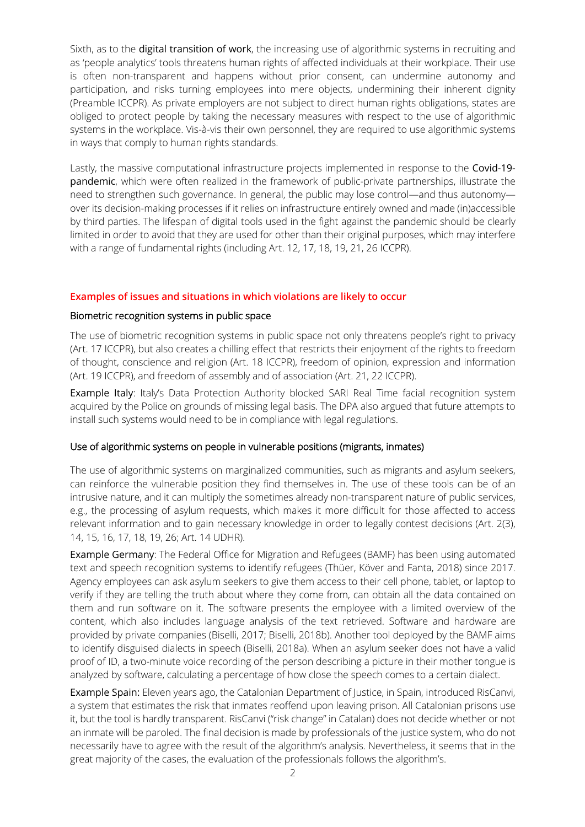Sixth, as to the **digital transition of work**, the increasing use of algorithmic systems in recruiting and as 'people analytics' tools threatens human rights of affected individuals at their workplace. Their use is often non-transparent and happens without prior consent, can undermine autonomy and participation, and risks turning employees into mere objects, undermining their inherent dignity (Preamble ICCPR). As private employers are not subject to direct human rights obligations, states are obliged to protect people by taking the necessary measures with respect to the use of algorithmic systems in the workplace. Vis-à-vis their own personnel, they are required to use algorithmic systems in ways that comply to human rights standards.

Lastly, the massive computational infrastructure projects implemented in response to the Covid-19 pandemic, which were often realized in the framework of public-private partnerships, illustrate the need to strengthen such governance. In general, the public may lose control—and thus autonomy over its decision-making processes if it relies on infrastructure entirely owned and made (in)accessible by third parties. The lifespan of digital tools used in the fight against the pandemic should be clearly limited in order to avoid that they are used for other than their original purposes, which may interfere with a range of fundamental rights (including Art. 12, 17, 18, 19, 21, 26 ICCPR).

### **Examples of issues and situations in which violations are likely to occur**

### Biometric recognition systems in public space

The use of biometric recognition systems in public space not only threatens people's right to privacy (Art. 17 ICCPR), but also creates a chilling effect that restricts their enjoyment of the rights to freedom of thought, conscience and religion (Art. 18 ICCPR), freedom of opinion, expression and information (Art. 19 ICCPR), and freedom of assembly and of association (Art. 21, 22 ICCPR).

Example Italy: Italy's Data Protection Authority blocked SARI Real Time facial recognition system acquired by the Police on grounds of missing legal basis. The DPA also argued that future attempts to install such systems would need to be in compliance with legal regulations.

### Use of algorithmic systems on people in vulnerable positions (migrants, inmates)

The use of algorithmic systems on marginalized communities, such as migrants and asylum seekers, can reinforce the vulnerable position they find themselves in. The use of these tools can be of an intrusive nature, and it can multiply the sometimes already non-transparent nature of public services, e.g., the processing of asylum requests, which makes it more difficult for those affected to access relevant information and to gain necessary knowledge in order to legally contest decisions (Art. 2(3), 14, 15, 16, 17, 18, 19, 26; Art. 14 UDHR).

Example Germany: The Federal Office for Migration and Refugees (BAMF) has been using automated text and speech recognition systems to identify refugees (Thüer, Köver and Fanta, 2018) since 2017. Agency employees can ask asylum seekers to give them access to their cell phone, tablet, or laptop to verify if they are telling the truth about where they come from, can obtain all the data contained on them and run software on it. The software presents the employee with a limited overview of the content, which also includes language analysis of the text retrieved. Software and hardware are provided by private companies (Biselli, 2017; Biselli, 2018b). Another tool deployed by the BAMF aims to identify disguised dialects in speech (Biselli, 2018a). When an asylum seeker does not have a valid proof of ID, a two-minute voice recording of the person describing a picture in their mother tongue is analyzed by software, calculating a percentage of how close the speech comes to a certain dialect.

Example Spain: Eleven years ago, the Catalonian Department of Justice, in Spain, introduced RisCanvi, a system that estimates the risk that inmates reoffend upon leaving prison. All Catalonian prisons use it, but the tool is hardly transparent. RisCanvi ("risk change" in Catalan) does not decide whether or not an inmate will be paroled. The final decision is made by professionals of the justice system, who do not necessarily have to agree with the result of the algorithm's analysis. Nevertheless, it seems that in the great majority of the cases, the evaluation of the professionals follows the algorithm's.